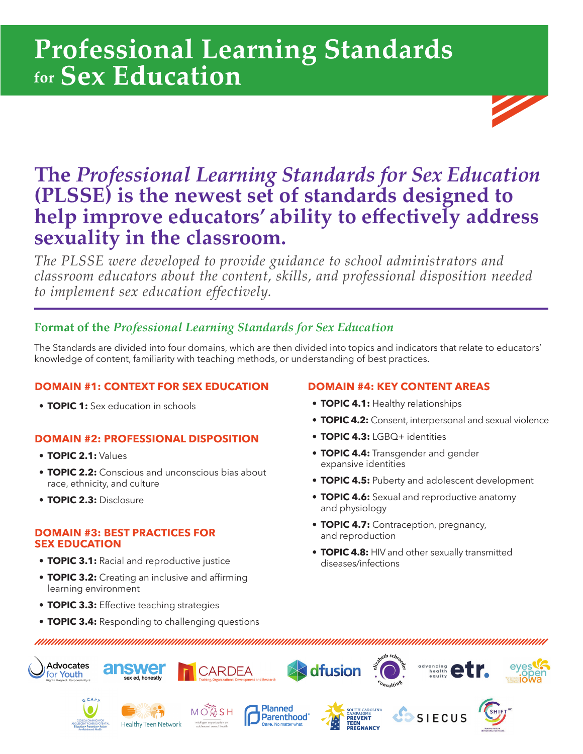# **Professional Learning Standards**



*The PLSSE were developed to provide guidance to school administrators and classroom educators about the content, skills, and professional disposition needed to implement sex education effectively.*

# **Format of the** *Professional Learning Standards for Sex Education*

The Standards are divided into four domains, which are then divided into topics and indicators that relate to educators' knowledge of content, familiarity with teaching methods, or understanding of best practices.

## **DOMAIN #1: CONTEXT FOR SEX EDUCATION**

**• TOPIC 1:** Sex education in schools

## **DOMAIN #2: PROFESSIONAL DISPOSITION**

- **TOPIC 2.1:** Values
- **TOPIC 2.2:** Conscious and unconscious bias about race, ethnicity, and culture
- **TOPIC 2.3:** Disclosure

#### **DOMAIN #3: BEST PRACTICES FOR SEX EDUCATION**

- **TOPIC 3.1:** Racial and reproductive justice
- **TOPIC 3.2:** Creating an inclusive and affirming learning environment
- **TOPIC 3.3:** Effective teaching strategies
- **TOPIC 3.4:** Responding to challenging questions

unumum araw ang pangangan na manangan na manangan sa pangangan na kanangan na kanangan na kanangan na kanangan

## **DOMAIN #4: KEY CONTENT AREAS**

- **TOPIC 4.1:** Healthy relationships
- **TOPIC 4.2:** Consent, interpersonal and sexual violence
- **TOPIC 4.3:** LGBQ+ identities
- **TOPIC 4.4:** Transgender and gender expansive identities
- **TOPIC 4.5:** Puberty and adolescent development
- **TOPIC 4.6:** Sexual and reproductive anatomy and physiology
- **TOPIC 4.7:** Contraception, pregnancy, and reproduction
- **TOPIC 4.8:** HIV and other sexually transmitted diseases/infections